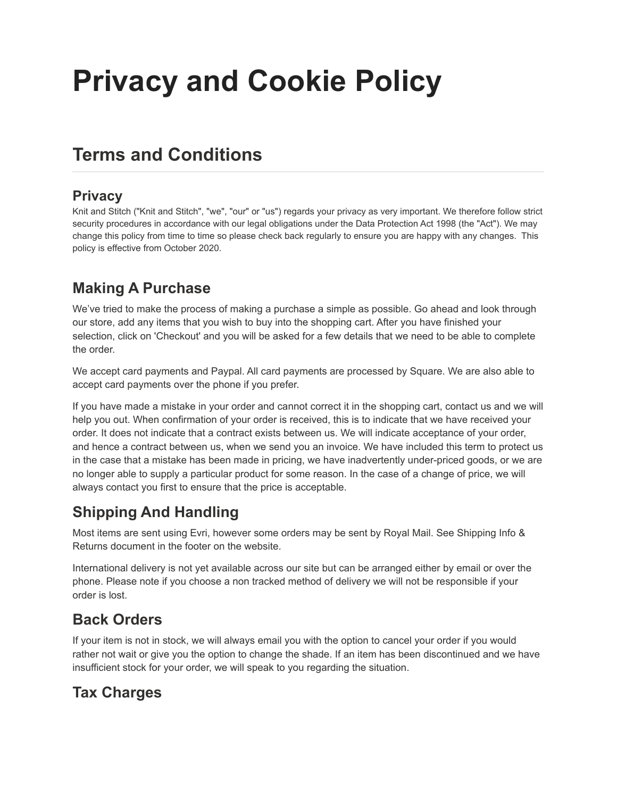# **Privacy and Cookie Policy**

# **Terms and Conditions**

#### **Privacy**

Knit and Stitch ("Knit and Stitch", "we", "our" or "us") regards your privacy as very important. We therefore follow strict security procedures in accordance with our legal obligations under the Data Protection Act 1998 (the "Act"). We may change this policy from time to time so please check back regularly to ensure you are happy with any changes. This policy is effective from October 2020.

#### **Making A Purchase**

We've tried to make the process of making a purchase a simple as possible. Go ahead and look through our store, add any items that you wish to buy into the shopping cart. After you have finished your selection, click on 'Checkout' and you will be asked for a few details that we need to be able to complete the order.

We accept card payments and Paypal. All card payments are processed by Square. We are also able to accept card payments over the phone if you prefer.

If you have made a mistake in your order and cannot correct it in the shopping cart, contact us and we will help you out. When confirmation of your order is received, this is to indicate that we have received your order. It does not indicate that a contract exists between us. We will indicate acceptance of your order, and hence a contract between us, when we send you an invoice. We have included this term to protect us in the case that a mistake has been made in pricing, we have inadvertently under-priced goods, or we are no longer able to supply a particular product for some reason. In the case of a change of price, we will always contact you first to ensure that the price is acceptable.

## **Shipping And Handling**

Most items are sent using Evri, however some orders may be sent by Royal Mail. See Shipping Info & Returns document in the footer on the website.

International delivery is not yet available across our site but can be arranged either by email or over the phone. Please note if you choose a non tracked method of delivery we will not be responsible if your order is lost.

#### **Back Orders**

If your item is not in stock, we will always email you with the option to cancel your order if you would rather not wait or give you the option to change the shade. If an item has been discontinued and we have insufficient stock for your order, we will speak to you regarding the situation.

## **Tax Charges**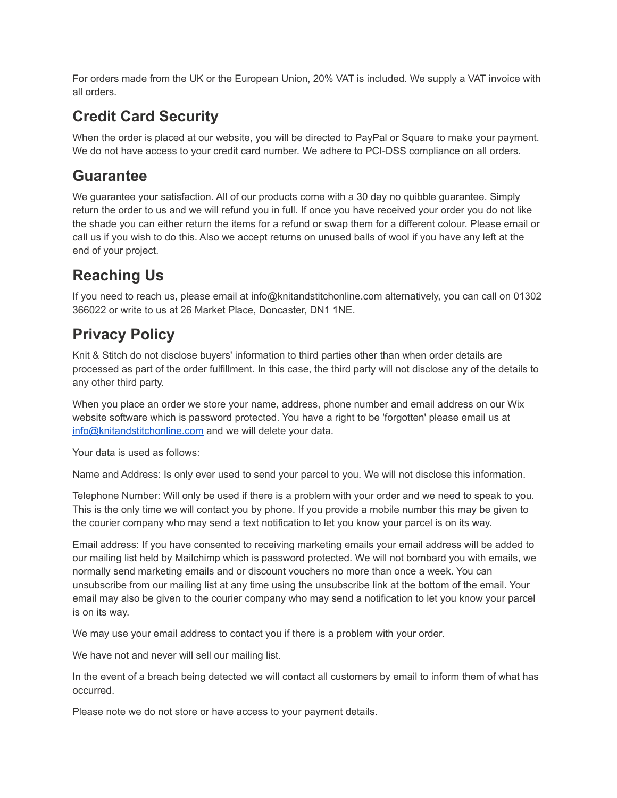For orders made from the UK or the European Union, 20% VAT is included. We supply a VAT invoice with all orders.

#### **Credit Card Security**

When the order is placed at our website, you will be directed to PayPal or Square to make your payment. We do not have access to your credit card number. We adhere to PCI-DSS compliance on all orders.

#### **Guarantee**

We guarantee your satisfaction. All of our products come with a 30 day no quibble guarantee. Simply return the order to us and we will refund you in full. If once you have received your order you do not like the shade you can either return the items for a refund or swap them for a different colour. Please email or call us if you wish to do this. Also we accept returns on unused balls of wool if you have any left at the end of your project.

# **Reaching Us**

If you need to reach us, please email at info@knitandstitchonline.com alternatively, you can call on 01302 366022 or write to us at 26 Market Place, Doncaster, DN1 1NE.

## **Privacy Policy**

Knit & Stitch do not disclose buyers' information to third parties other than when order details are processed as part of the order fulfillment. In this case, the third party will not disclose any of the details to any other third party.

When you place an order we store your name, address, phone number and email address on our Wix website software which is password protected. You have a right to be 'forgotten' please email us at [info@knitandstitchonline.com](mailto:info@knitandstitchonline.com) and we will delete your data.

Your data is used as follows:

Name and Address: Is only ever used to send your parcel to you. We will not disclose this information.

Telephone Number: Will only be used if there is a problem with your order and we need to speak to you. This is the only time we will contact you by phone. If you provide a mobile number this may be given to the courier company who may send a text notification to let you know your parcel is on its way.

Email address: If you have consented to receiving marketing emails your email address will be added to our mailing list held by Mailchimp which is password protected. We will not bombard you with emails, we normally send marketing emails and or discount vouchers no more than once a week. You can unsubscribe from our mailing list at any time using the unsubscribe link at the bottom of the email. Your email may also be given to the courier company who may send a notification to let you know your parcel is on its way.

We may use your email address to contact you if there is a problem with your order.

We have not and never will sell our mailing list.

In the event of a breach being detected we will contact all customers by email to inform them of what has occurred.

Please note we do not store or have access to your payment details.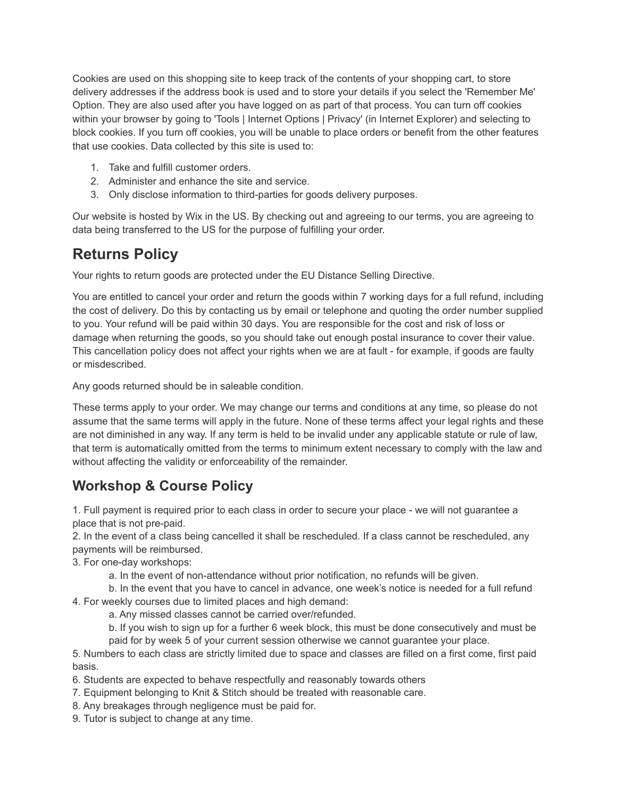Cookies are used on this shopping site to keep track of the contents of your shopping cart, to store delivery addresses if the address book is used and to store your details if you select the 'Remember Me' Option. They are also used after you have logged on as part of that process. You can turn off cookies within your browser by going to 'Tools | Internet Options | Privacy' (in Internet Explorer) and selecting to block cookies. If you turn off cookies, you will be unable to place orders or benefit from the other features that use cookies. Data collected by this site is used to:

- 1. Take and fulfill customer orders.
- 2. Administer and enhance the site and service.
- 3. Only disclose information to third-parties for goods delivery purposes.

Our website is hosted by Wix in the US. By checking out and agreeing to our terms, you are agreeing to data being transferred to the US for the purpose of fulfilling your order.

#### **Returns Policy**

Your rights to return goods are protected under the EU Distance Selling Directive.

You are entitled to cancel your order and return the goods within 7 working days for a full refund, including the cost of delivery. Do this by contacting us by email or telephone and quoting the order number supplied to you. Your refund will be paid within 30 days. You are responsible for the cost and risk of loss or damage when returning the goods, so you should take out enough postal insurance to cover their value. This cancellation policy does not affect your rights when we are at fault - for example, if goods are faulty or misdescribed.

Any goods returned should be in saleable condition.

These terms apply to your order. We may change our terms and conditions at any time, so please do not assume that the same terms will apply in the future. None of these terms affect your legal rights and these are not diminished in any way. If any term is held to be invalid under any applicable statute or rule of law, that term is automatically omitted from the terms to minimum extent necessary to comply with the law and without affecting the validity or enforceability of the remainder.

#### **Workshop & Course Policy**

1. Full payment is required prior to each class in order to secure your place - we will not guarantee a place that is not pre-paid.

2. In the event of a class being cancelled it shall be rescheduled. If a class cannot be rescheduled, any payments will be reimbursed.

- 3. For one-day workshops:
	- a. In the event of non-attendance without prior notification, no refunds will be given.
	- b. In the event that you have to cancel in advance, one week's notice is needed for a full refund
- 4. For weekly courses due to limited places and high demand:
	- a. Any missed classes cannot be carried over/refunded.
	- b. If you wish to sign up for a further 6 week block, this must be done consecutively and must be paid for by week 5 of your current session otherwise we cannot guarantee your place.

5. Numbers to each class are strictly limited due to space and classes are filled on a first come, first paid basis.

- 6. Students are expected to behave respectfully and reasonably towards others
- 7. Equipment belonging to Knit & Stitch should be treated with reasonable care.
- 8. Any breakages through negligence must be paid for.
- 9. Tutor is subject to change at any time.